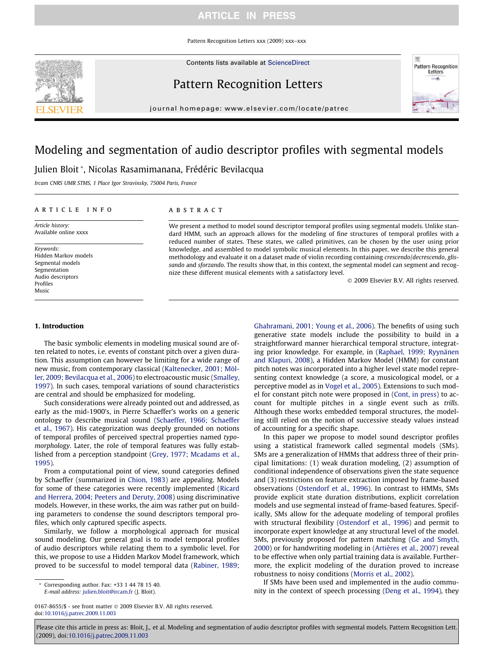Pattern Recognition Letters xxx (2009) xxx–xxx

Contents lists available at [ScienceDirect](http://www.sciencedirect.com/science/journal/01678655)



journal homepage: www.elsevier.com/locate/patrec

# Modeling and segmentation of audio descriptor profiles with segmental models

Julien Bloit \*, Nicolas Rasamimanana, Frédéric Bevilacqua

Ircam CNRS UMR STMS, 1 Place Igor Stravinsky, 75004 Paris, France

#### a r t i c l e i n f o

Article history: Available online xxxx

Keywords: Hidden Markov models Segmental models Segmentation Audio descriptors Profiles Music

### A B S T R A C T

We present a method to model sound descriptor temporal profiles using segmental models. Unlike standard HMM, such an approach allows for the modeling of fine structures of temporal profiles with a reduced number of states. These states, we called primitives, can be chosen by the user using prior knowledge, and assembled to model symbolic musical elements. In this paper, we describe this general methodology and evaluate it on a dataset made of violin recording containing crescendo/decrescendo, glissando and sforzando. The results show that, in this context, the segmental model can segment and recognize these different musical elements with a satisfactory level.

 $© 2009$  Elsevier B.V. All rights reserved.

#### 1. Introduction

The basic symbolic elements in modeling musical sound are often related to notes, i.e. events of constant pitch over a given duration. This assumption can however be limiting for a wide range of new music, from contemporary classical [\(Kaltenecker, 2001; Möl](#page-6-0)[ler, 2009; Bevilacqua et al., 2006](#page-6-0)) to electroacoustic music ([Smalley,](#page-6-0) [1997\)](#page-6-0). In such cases, temporal variations of sound characteristics are central and should be emphasized for modeling.

Such considerations were already pointed out and addressed, as early as the mid-1900's, in Pierre Schaeffer's works on a generic ontology to describe musical sound ([Schaeffer, 1966; Schaeffer](#page-6-0) [et al., 1967\)](#page-6-0). His categorization was deeply grounded on notions of temporal profiles of perceived spectral properties named typomorphology. Later, the role of temporal features was fully established from a perception standpoint [\(Grey, 1977; Mcadams et al.,](#page-6-0) [1995\)](#page-6-0).

From a computational point of view, sound categories defined by Schaeffer (summarized in [Chion, 1983\)](#page-5-0) are appealing. Models for some of these categories were recently implemented ([Ricard](#page-6-0) [and Herrera, 2004; Peeters and Deruty, 2008](#page-6-0)) using discriminative models. However, in these works, the aim was rather put on building parameters to condense the sound descriptors temporal profiles, which only captured specific aspects.

Similarly, we follow a morphological approach for musical sound modeling. Our general goal is to model temporal profiles of audio descriptors while relating them to a symbolic level. For this, we propose to use a Hidden Markov Model framework, which proved to be successful to model temporal data [\(Rabiner, 1989;](#page-6-0)

0167-8655/\$ - see front matter @ 2009 Elsevier B.V. All rights reserved. doi[:10.1016/j.patrec.2009.11.003](http://dx.doi.org/10.1016/j.patrec.2009.11.003)

[Ghahramani, 2001; Young et al., 2006\)](#page-6-0). The benefits of using such generative state models include the possibility to build in a straightforward manner hierarchical temporal structure, integrating prior knowledge. For example, in ([Raphael, 1999; Ryynänen](#page-6-0) [and Klapuri, 2008](#page-6-0)), a Hidden Markov Model (HMM) for constant pitch notes was incorporated into a higher level state model representing context knowledge (a score, a musicological model, or a perceptive model as in [Vogel et al., 2005](#page-6-0)). Extensions to such model for constant pitch note were proposed in [\(Cont, in press](#page-5-0)) to account for multiple pitches in a single event such as trills. Although these works embedded temporal structures, the modeling still relied on the notion of successive steady values instead of accounting for a specific shape.

In this paper we propose to model sound descriptor profiles using a statistical framework called segmental models (SMs). SMs are a generalization of HMMs that address three of their principal limitations: (1) weak duration modeling, (2) assumption of conditional independence of observations given the state sequence and (3) restrictions on feature extraction imposed by frame-based observations [\(Ostendorf et al., 1996](#page-6-0)). In contrast to HMMs, SMs provide explicit state duration distributions, explicit correlation models and use segmental instead of frame-based features. Specifically, SMs allow for the adequate modeling of temporal profiles with structural flexibility [\(Ostendorf et al., 1996](#page-6-0)) and permit to incorporate expert knowledge at any structural level of the model. SMs, previously proposed for pattern matching [\(Ge and Smyth,](#page-5-0) [2000](#page-5-0)) or for handwriting modeling in ([Artières et al., 2007](#page-5-0)) reveal to be effective when only partial training data is available. Furthermore, the explicit modeling of the duration proved to increase robustness to noisy conditions [\(Morris et al., 2002](#page-6-0)).

If SMs have been used and implemented in the audio community in the context of speech processing [\(Deng et al., 1994\)](#page-5-0), they



Corresponding author. Fax: +33 1 44 78 15 40. E-mail address: [julien.bloit@ircam.fr](mailto:julien.bloit@ircam.fr) (J. Bloit).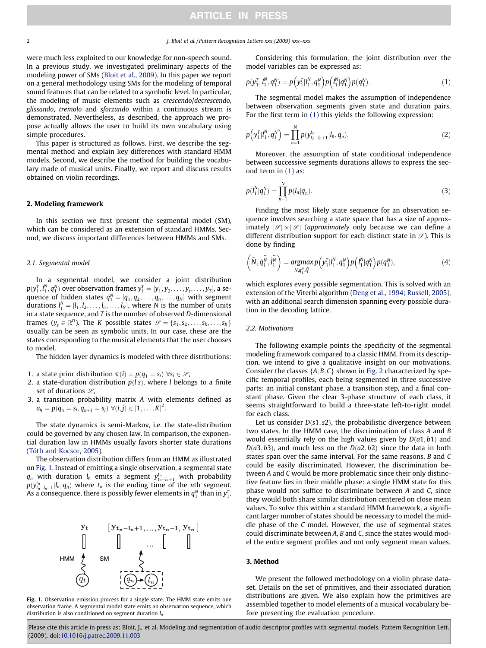#### 2 J. Bloit et al. / Pattern Recognition Letters xxx (2009) xxx–xxx

were much less exploited to our knowledge for non-speech sound. In a previous study, we investigated preliminary aspects of the modeling power of SMs ([Bloit et al., 2009](#page-5-0)). In this paper we report on a general methodology using SMs for the modeling of temporal sound features that can be related to a symbolic level. In particular, the modeling of music elements such as crescendo/decrescendo, glissando, tremolo and sforzando within a continuous stream is demonstrated. Nevertheless, as described, the approach we propose actually allows the user to build its own vocabulary using simple procedures.

This paper is structured as follows. First, we describe the segmental method and explain key differences with standard HMM models. Second, we describe the method for building the vocabulary made of musical units. Finally, we report and discuss results obtained on violin recordings.

#### 2. Modeling framework

In this section we first present the segmental model (SM), which can be considered as an extension of standard HMMs. Second, we discuss important differences between HMMs and SMs.

#### 2.1. Segmental model

In a segmental model, we consider a joint distribution  $p(y_1^T, l_1^N, q_1^N)$  over observation frames  $y_1^T = [\mathcal{y}_1, \mathcal{y}_2, \ldots, \mathcal{y}_t, \ldots, \mathcal{y}_T]$ , a sequence of hidden states  $q_1^N = [q_1, q_2, \ldots, q_n, \ldots, q_N]$  with segment durations  $l_1^N = [l_1, l_2, \ldots, l_n, \ldots, l_N]$ , where N is the number of units in a state sequence, and T is the number of observed D-dimensional frames  $(y_t \in \mathbb{R}^D)$ . The K possible states  $\mathcal{S} = \{s_1, s_2, \ldots, s_k, \ldots, s_K\}$ usually can be seen as symbolic units. In our case, these are the states corresponding to the musical elements that the user chooses to model.

The hidden layer dynamics is modeled with three distributions:

- 1. a state prior distribution  $\pi(i) = p(q_1 = s_i) \,\forall s_i \in \mathcal{S}$ ,
- 2. a state-duration distribution  $p(l|s)$ , where *l* belongs to a finite set of durations  $\mathscr{L}$ ,
- 3. a transition probability matrix A with elements defined as  $a_{ij} = p(q_n = s_i, q_{n+1} = s_j) \,\,\forall (i,j) \in [1, \ldots, K]^2.$

The state dynamics is semi-Markov, i.e. the state-distribution could be governed by any chosen law. In comparison, the exponential duration law in HMMs usually favors shorter state durations ([Tóth and Kocsor, 2005](#page-6-0)).

The observation distribution differs from an HMM as illustrated on [Fig. 1.](#page-1-0) Instead of emitting a single observation, a segmental state  $q_n$  with duration  $l_n$  emits a segment  $y_{t_n-l_n+1}^{t_n}$  with probability  $p(y_{t_n-t_n+1}^{t_n} | l_n, q_n)$  where  $t_n$  is the ending time of the nth segment. As a consequence, there is possibly fewer elements in  $q_1^N$  than in  $y_1^T.$ 



<span id="page-1-0"></span>

Considering this formulation, the joint distribution over the model variables can be expressed as:

$$
p(y_1^T, l_1^N, q_1^N) = p\Big(y_1^T | l_1^N, q_1^N\Big) p\Big(l_1^N | q_1^N\Big) p\big(q_1^N\big). \tag{1}
$$

The segmental model makes the assumption of independence between observation segments given state and duration pairs. For the first term in [\(1\)](#page-1-0) this yields the following expression:

$$
p\left(y_1^T|l_1^N, q_1^N\right) = \prod_{n=1}^N p(y_{t_n-l_n+1}^{t_n}|l_n, q_n). \tag{2}
$$

Moreover, the assumption of state conditional independence between successive segments durations allows to express the second term in [\(1\)](#page-1-0) as:

$$
p(l_1^N|q_1^N) = \prod_{n=1}^N p(l_n|q_n).
$$
 (3)

Finding the most likely state sequence for an observation sequence involves searching a state space that has a size of approximately  $|\mathcal{S}| \times |\mathcal{L}|$  (approximately only because we can define a different distribution support for each distinct state in  $\mathscr{S}$ ). This is done by finding

$$
\left(\widehat{N},\widehat{q}_1^{\widehat{N}},\widehat{l}_1^{\widehat{N}}\right) = \underset{N,q_1^N,\widehat{l}_1^N}{\text{argmax}} p\left(\mathbf{y}_1^T|l_1^N,q_1^N\right) p\left(l_1^N|q_1^N\right) p(q_1^N),\tag{4}
$$

which explores every possible segmentation. This is solved with an extension of the Viterbi algorithm ([Deng et al., 1994; Russell, 2005\)](#page-5-0), with an additional search dimension spanning every possible duration in the decoding lattice.

#### 2.2. Motivations

The following example points the specificity of the segmental modeling framework compared to a classic HMM. From its description, we intend to give a qualitative insight on our motivations. Consider the classes  $\{A, B, C\}$  shown in [Fig. 2](#page-2-0) characterized by specific temporal profiles, each being segmented in three successive parts: an initial constant phase, a transition step, and a final constant phase. Given the clear 3-phase structure of each class, it seems straightforward to build a three-state left-to-right model for each class.

Let us consider  $D(s1, s2)$ , the probabilistic divergence between two states. In the HMM case, the discrimination of class A and B would essentially rely on the high values given by  $D(a1, b1)$  and  $D(a3,b3)$ , and much less on the  $D(a2,b2)$  since the data in both states span over the same interval. For the same reasons, B and C could be easily discriminated. However, the discrimination between A and C would be more problematic since their only distinctive feature lies in their middle phase: a single HMM state for this phase would not suffice to discriminate between A and C, since they would both share similar distribution centered on close mean values. To solve this within a standard HMM framework, a significant larger number of states should be necessary to model the middle phase of the C model. However, the use of segmental states could discriminate between A, B and C, since the states would model the entire segment profiles and not only segment mean values.

#### 3. Method

We present the followed methodology on a violin phrase dataset. Details on the set of primitives, and their associated duration distributions are given. We also explain how the primitives are assembled together to model elements of a musical vocabulary before presenting the evaluation procedure.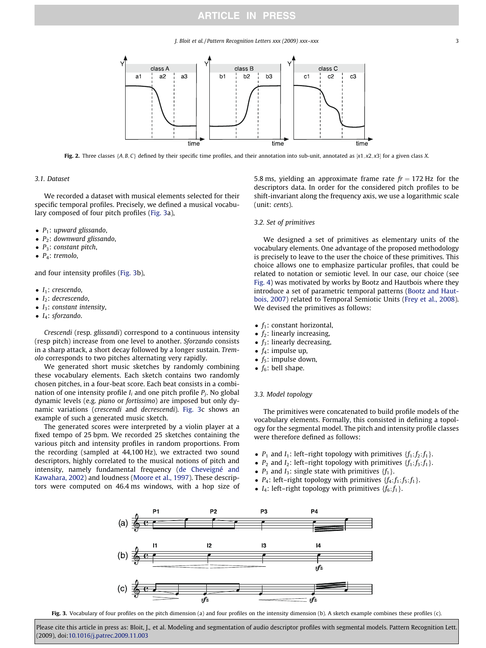J. Bloit et al. / Pattern Recognition Letters xxx (2009) xxx–xxx 3



Fig. 2. Three classes {A, B, C} defined by their specific time profiles, and their annotation into sub-unit, annotated as  $[x1, x2, x3]$  for a given class X.

#### 3.1. Dataset

We recorded a dataset with musical elements selected for their specific temporal profiles. Precisely, we defined a musical vocabulary composed of four pitch profiles ([Fig. 3](#page-2-0)a),

- $P_1$ : upward glissando,
- $\bullet$  P<sub>2</sub>: downward glissando,
- $P_3$ : constant pitch,
- $\bullet$  P<sub>4</sub>: tremolo,

and four intensity profiles [\(Fig. 3b](#page-2-0)),

- $\bullet$  I<sub>1</sub>: crescendo,
- $\bullet$  I<sub>2</sub>: decrescendo,
- $\bullet$  I<sub>3</sub>: constant intensity,
- $\bullet$  I<sub>4</sub>: sforzando.

Crescendi (resp. glissandi) correspond to a continuous intensity (resp pitch) increase from one level to another. Sforzando consists in a sharp attack, a short decay followed by a longer sustain. Tremolo corresponds to two pitches alternating very rapidly.

We generated short music sketches by randomly combining these vocabulary elements. Each sketch contains two randomly chosen pitches, in a four-beat score. Each beat consists in a combination of one intensity profile  $I_i$  and one pitch profile  $P_i$ . No global dynamic levels (e.g. piano or fortissimo) are imposed but only dynamic variations (crescendi and decrescendi). [Fig. 3c](#page-2-0) shows an example of such a generated music sketch.

The generated scores were interpreted by a violin player at a fixed tempo of 25 bpm. We recorded 25 sketches containing the various pitch and intensity profiles in random proportions. From the recording (sampled at 44,100 Hz), we extracted two sound descriptors, highly correlated to the musical notions of pitch and intensity, namely fundamental frequency [\(de Cheveigné and](#page-5-0) [Kawahara, 2002](#page-5-0)) and loudness [\(Moore et al., 1997\)](#page-6-0). These descriptors were computed on 46.4 ms windows, with a hop size of 5.8 ms, yielding an approximate frame rate  $fr = 172$  Hz for the descriptors data. In order for the considered pitch profiles to be shift-invariant along the frequency axis, we use a logarithmic scale (unit: cents).

#### 3.2. Set of primitives

We designed a set of primitives as elementary units of the vocabulary elements. One advantage of the proposed methodology is precisely to leave to the user the choice of these primitives. This choice allows one to emphasize particular profiles, that could be related to notation or semiotic level. In our case, our choice (see [Fig. 4\)](#page-3-0) was motivated by works by Bootz and Hautbois where they introduce a set of parametric temporal patterns ([Bootz and Haut](#page-5-0)[bois, 2007\)](#page-5-0) related to Temporal Semiotic Units [\(Frey et al., 2008\)](#page-5-0). We devised the primitives as follows:

- $f_1$ : constant horizontal,
- $f_2$ : linearly increasing,
- $f_3$ : linearly decreasing,
- $f_4$ : impulse up,
- $f_5$ : impulse down,
- $f_6$ : bell shape.

#### 3.3. Model topology

The primitives were concatenated to build profile models of the vocabulary elements. Formally, this consisted in defining a topology for the segmental model. The pitch and intensity profile classes were therefore defined as follows:

- $P_1$  and  $I_1$ : left–right topology with primitives  $\{f_1; f_2; f_1\}$ .
- $P_2$  and  $I_2$ : left–right topology with primitives  $\{f_1; f_3; f_1\}$ .
- $P_3$  and  $I_3$ : single state with primitives  $\{f_1\}$ .
- P<sub>4</sub>: left–right topology with primitives  $\{f_4; f_1; f_5; f_1\}$ .
- $I_4$ : left–right topology with primitives  $\{f_6; f_1\}$ .



<span id="page-2-0"></span>Fig. 3. Vocabulary of four profiles on the pitch dimension (a) and four profiles on the intensity dimension (b). A sketch example combines these profiles (c).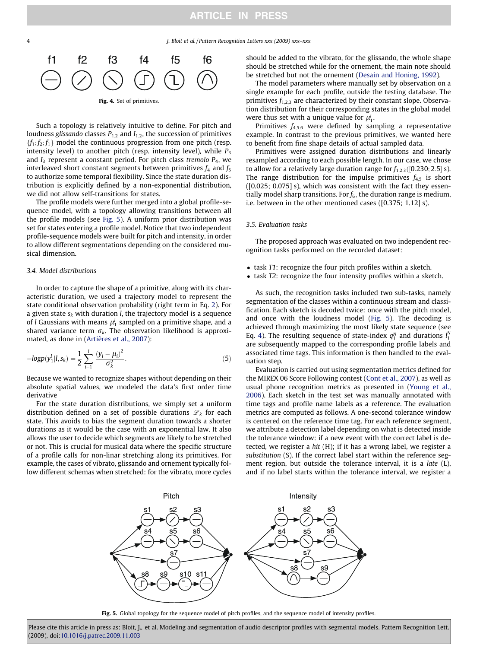4 J. Bloit et al. / Pattern Recognition Letters xxx (2009) xxx–xxx



Such a topology is relatively intuitive to define. For pitch and loudness glissando classes  $P_{1,2}$  and  $I_{1,2}$ , the succession of primitives  ${f_1; f_2; f_1}$  model the continuous progression from one pitch (resp. intensity level) to another pitch (resp. intensity level), while  $P_3$ and  $I_3$  represent a constant period. For pitch class tremolo  $P_4$ , we interleaved short constant segments between primitives  $f_4$  and  $f_5$ to authorize some temporal flexibility. Since the state duration distribution is explicitly defined by a non-exponential distribution, we did not allow self-transitions for states.

The profile models were further merged into a global profile-sequence model, with a topology allowing transitions between all the profile models (see [Fig. 5](#page-3-0)). A uniform prior distribution was set for states entering a profile model. Notice that two independent profile-sequence models were built for pitch and intensity, in order to allow different segmentations depending on the considered musical dimension.

#### 3.4. Model distributions

In order to capture the shape of a primitive, along with its characteristic duration, we used a trajectory model to represent the state conditional observation probability (right term in Eq. [2](#page-1-0)). For a given state  $s_k$  with duration *l*, the trajectory model is a sequence of *l* Gaussians with means  $\mu_1^l$  sampled on a primitive shape, and a shared variance term  $\sigma_k$ . The observation likelihood is approximated, as done in [\(Artières et al., 2007\)](#page-5-0):

$$
-logp(y_1^l|l, s_k) = \frac{1}{2} \sum_{i=1}^l \frac{(y_i - \mu_i)^2}{\sigma_k^2}.
$$
 (5)

Because we wanted to recognize shapes without depending on their absolute spatial values, we modeled the data's first order time derivative

For the state duration distributions, we simply set a uniform distribution defined on a set of possible durations  $\mathscr{L}_k$  for each state. This avoids to bias the segment duration towards a shorter durations as it would be the case with an exponential law. It also allows the user to decide which segments are likely to be stretched or not. This is crucial for musical data where the specific structure of a profile calls for non-linar stretching along its primitives. For example, the cases of vibrato, glissando and ornement typically follow different schemas when stretched: for the vibrato, more cycles should be added to the vibrato, for the glissando, the whole shape should be stretched while for the ornement, the main note should be stretched but not the ornement ([Desain and Honing, 1992](#page-5-0)).

The model parameters where manually set by observation on a single example for each profile, outside the testing database. The primitives  $f_{1,2,3}$  are characterized by their constant slope. Observation distribution for their corresponding states in the global model were thus set with a unique value for  $\mu_1^l$ .

Primitives  $f_{4,5,6}$  were defined by sampling a representative example. In contrast to the previous primitives, we wanted here to benefit from fine shape details of actual sampled data.

Primitives were assigned duration distributions and linearly resampled according to each possible length. In our case, we chose to allow for a relatively large duration range for  $f_{1,2,3}([0.230; 2.5] s)$ . The range distribution for the impulse primitives  $f_{4,5}$  is short ([0.025; 0.075] s), which was consistent with the fact they essentially model sharp transitions. For  $f_6$ , the duration range is medium, i.e. between in the other mentioned cases ([0.375; 1.12] s).

#### 3.5. Evaluation tasks

The proposed approach was evaluated on two independent recognition tasks performed on the recorded dataset:

- task T1: recognize the four pitch profiles within a sketch.
- task T2: recognize the four intensity profiles within a sketch.

As such, the recognition tasks included two sub-tasks, namely segmentation of the classes within a continuous stream and classification. Each sketch is decoded twice: once with the pitch model, and once with the loudness model ([Fig. 5\)](#page-3-0). The decoding is achieved through maximizing the most likely state sequence (see Eq. [4](#page-1-0)). The resulting sequence of state-index  $q_1^N$  and durations  $l_1^N$ are subsequently mapped to the corresponding profile labels and associated time tags. This information is then handled to the evaluation step.

Evaluation is carried out using segmentation metrics defined for the MIREX 06 Score Following contest [\(Cont et al., 2007\)](#page-5-0), as well as usual phone recognition metrics as presented in [\(Young et al.,](#page-6-0) [2006\)](#page-6-0). Each sketch in the test set was manually annotated with time tags and profile name labels as a reference. The evaluation metrics are computed as follows. A one-second tolerance window is centered on the reference time tag. For each reference segment, we attribute a detection label depending on what is detected inside the tolerance window: if a new event with the correct label is detected, we register a hit (H); if it has a wrong label, we register a substitution (S). If the correct label start within the reference segment region, but outside the tolerance interval, it is a late (L), and if no label starts within the tolerance interval, we register a



<span id="page-3-0"></span>Fig. 5. Global topology for the sequence model of pitch profiles, and the sequence model of intensity profiles.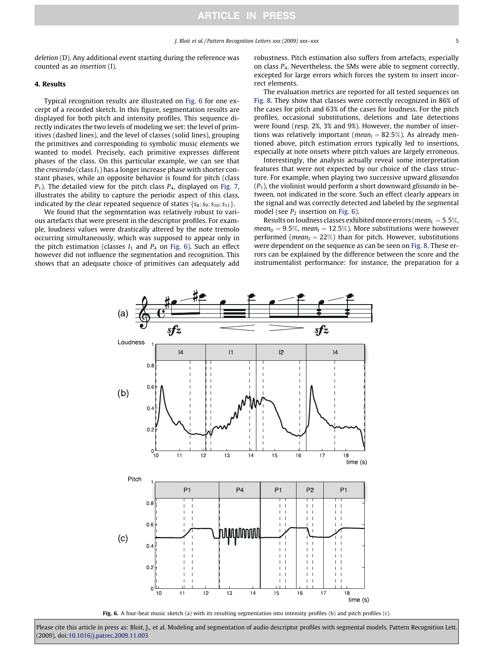deletion (D). Any additional event starting during the reference was counted as an insertion (I).

#### 4. Results

Typical recognition results are illustrated on [Fig. 6](#page-4-0) for one excerpt of a recorded sketch. In this figure, segmentation results are displayed for both pitch and intensity profiles. This sequence directly indicates the two levels of modeling we set: the level of primitives (dashed lines), and the level of classes (solid lines), grouping the primitives and corresponding to symbolic music elements we wanted to model. Precisely, each primitive expresses different phases of the class. On this particular example, we can see that the crescendo (class  $I_1$ ) has a longer increase phase with shorter constant phases, while an opposite behavior is found for pitch (class  $P_1$ ). The detailed view for the pitch class  $P_4$ , displayed on [Fig. 7,](#page-5-0) illustrates the ability to capture the periodic aspect of this class, indicated by the clear repeated sequence of states  $\{s_8; s_9; s_{10}; s_{11}\}.$ 

We found that the segmentation was relatively robust to various artefacts that were present in the descriptor profiles. For example, loudness values were drastically altered by the note tremolo occurring simultaneously, which was supposed to appear only in the pitch estimation (classes  $I_1$  and  $P_4$  on [Fig. 6](#page-4-0)). Such an effect however did not influence the segmentation and recognition. This shows that an adequate choice of primitives can adequately add robustness. Pitch estimation also suffers from artefacts, especially on class P4. Nevertheless, the SMs were able to segment correctly, excepted for large errors which forces the system to insert incorrect elements.

The evaluation metrics are reported for all tested sequences on [Fig. 8.](#page-5-0) They show that classes were correctly recognized in 86% of the cases for pitch and 63% of the cases for loudness. For the pitch profiles, occasional substitutions, deletions and late detections were found (resp. 2%, 3% and 9%). However, the number of insertions was relatively important ( $mean_I = 82.5\%$ ). As already mentioned above, pitch estimation errors typically led to insertions, especially at note onsets where pitch values are largely erroneous.

Interestingly, the analysis actually reveal some interpretation features that were not expected by our choice of the class structure. For example, when playing two successive upward glissandos  $(P_1)$ , the violinist would perform a short downward glissando in between, not indicated in the score. Such an effect clearly appears in the signal and was correctly detected and labeled by the segmental model (see  $P_2$  insertion on [Fig. 6\)](#page-4-0).

Results on loudness classes exhibited more errors ( $mean_L = 5.5\%$ ,  $mean_D = 9.5\%$ , mean<sub>I</sub> = 12.5%). More substitutions were however performed (*mean*<sub>S</sub> = 22%) than for pitch. However, substitutions were dependent on the sequence as can be seen on [Fig. 8](#page-5-0). These errors can be explained by the difference between the score and the instrumentalist performance: for instance, the preparation for a



<span id="page-4-0"></span>Fig. 6. A four-beat music sketch (a) with its resulting segmentation into intensity profiles (b) and pitch profiles (c).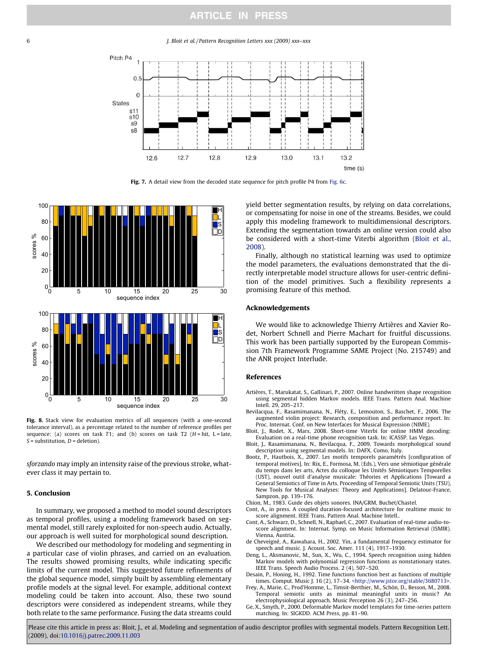6 J. Bloit et al. / Pattern Recognition Letters xxx (2009) xxx–xxx



Fig. 7. A detail view from the decoded state sequence for pitch profile P4 from [Fig. 6](#page-4-0)c.



Fig. 8. Stack view for evaluation metrics of all sequences (with a one-second tolerance interval), as a percentage related to the number of reference profiles per sequence: (a) scores on task T1; and (b) scores on task T2  $(H = hit, L = late,$  $S =$ substitution,  $D =$  deletion).

sforzando may imply an intensity raise of the previous stroke, whatever class it may pertain to.

#### 5. Conclusion

In summary, we proposed a method to model sound descriptors as temporal profiles, using a modeling framework based on segmental model, still rarely exploited for non-speech audio. Actually, our approach is well suited for morphological sound description.

<span id="page-5-0"></span>We described our methodology for modeling and segmenting in a particular case of violin phrases, and carried on an evaluation. The results showed promising results, while indicating specific limits of the current model. This suggested future refinements of the global sequence model, simply built by assembling elementary profile models at the signal level. For example, additional context modeling could be taken into account. Also, these two sound descriptors were considered as independent streams, while they both relate to the same performance. Fusing the data streams could

yield better segmentation results, by relying on data correlations, or compensating for noise in one of the streams. Besides, we could apply this modeling framework to multidimensional descriptors. Extending the segmentation towards an online version could also be considered with a short-time Viterbi algorithm ([Bloit et al.,](#page-5-0) [2008\)](#page-5-0).

Finally, although no statistical learning was used to optimize the model parameters, the evaluations demonstrated that the directly interpretable model structure allows for user-centric definition of the model primitives. Such a flexibility represents a promising feature of this method.

#### Acknowledgements

We would like to acknowledge Thierry Artières and Xavier Rodet, Norbert Schnell and Pierre Machart for fruitful discussions. This work has been partially supported by the European Commission 7th Framework Programme SAME Project (No. 215749) and the ANR project Interlude.

#### References

- Artières, T., Marukatat, S., Gallinari, P., 2007. Online handwritten shape recognition using segmental hidden Markov models. IEEE Trans. Pattern Anal. Machine Intell. 29, 205–217.
- Bevilacqua, F., Rasamimanana, N., Fléty, E., Lemouton, S., Baschet, F., 2006. The augmented violin project: Research, composition and performance report. In: Proc. Internat. Conf. on New Interfaces for Musical Expression (NIME).
- Bloit, J., Rodet, X., Mars, 2008. Short-time Viterbi for online HMM decoding: Evaluation on a real-time phone recognition task. In: ICASSP. Las Vegas.
- Bloit, J., Rasamimanana, N., Bevilacqua, F., 2009. Towards morphological sound description using segmental models. In: DAFX. Como, Italy.
- Bootz, P., Hautbois, X., 2007. Les motifs temporels paramétrés [configuration of temporal motives]. In: Rix, E., Formosa, M. (Eds.), Vers une sémiotique générale du temps dans les arts, Actes du colloque les Unités Sémiotiques Temporelles (UST), nouvel outil d'analyse musicale: Théories et Applications [Toward a General Semiotics of Time in Arts. Proceeding of Temporal Semiotic Units (TSU), New Tools for Musical Analyses: Theory and Applications]. Delatour-France, Sampzon, pp. 139–176.
- Chion, M., 1983. Guide des objets sonores. INA/GRM, Buchet/Chastel.
- Cont, A., in press. A coupled duration-focused architecture for realtime music to score alignment. IEEE Trans. Pattern Anal. Machine Intell..
- Cont, A., Schwarz, D., Schnell, N., Raphael, C., 2007. Evaluation of real-time audio-toscore alignment. In: Internat. Symp. on Music Information Retrieval (ISMIR). Vienna, Austria.
- de Cheveigné, A., Kawahara, H., 2002. Yin, a fundamental frequency estimator for speech and music. J. Acoust. Soc. Amer. 111 (4), 1917–1930.
- Deng, L., Aksmanovic, M., Sun, X., Wu, C., 1994. Speech recognition using hidden Markov models with polynomial regression functions as nonstationary states. IEEE Trans. Speech Audio Process. 2 (4), 507–520.
- Desain, P., Honing, H., 1992. Time functions function best as functions of multiple times. Comput. Music J. 16 (2), 17–34. [<http://www.jstor.org/stable/3680713>](http://www.jstor.org/stable/3680713).
- Frey, A., Marie, C., Prod'Homme, L., Timsit-Berthier, M., Schön, D., Besson, M., 2008. Temporal semiotic units as minimal meaningful units in music? An
- electrophysiological approach. Music Perception 26 (3), 247–256. Ge, X., Smyth, P., 2000. Deformable Markov model templates for time-series pattern matching. In: SIGKDD. ACM Press, pp. 81–90.